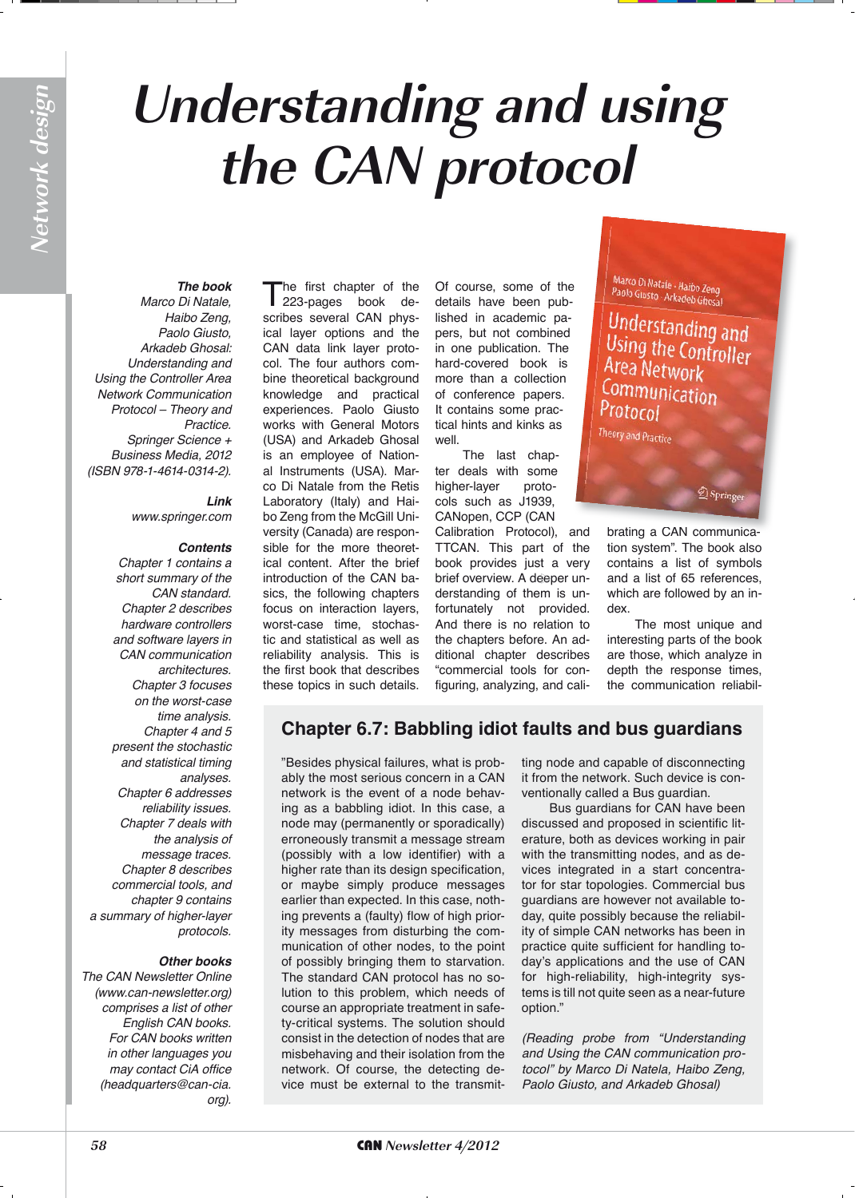# **Understanding and using the CAN protocol**

*The book Marco Di Natale, Haibo Zeng, Paolo Giusto, Arkadeb Ghosal: Understanding and Using the Controller Area Network Communication Protocol – Theory and Practice.*  Springer Science + *Business Media, 2012*  (ISBN 978-1-4614-0314-2).

> *Link www.springer.com*

## *Contents*

*Chapter 1 contains a short summary of the CAN standard. Chapter 2 describes hardware controllers and software layers in CAN communication architectures. Chapter 3 focuses on the worst-case time analysis. Chapter 4 and 5 present the stochastic and statistical timing analyses. Chapter 6 addresses reliability issues.*  Chapter 7 deals with *the analysis of message traces.*  Chapter 8 describes *commercial tools, and*  chapter 9 contains *a summary of higher-layer protocols.*

### *Other books*

The CAN Newsletter Online *(www.can-newsletter.org) comprises a list of other*  English CAN books. *For CAN books written in other languages you may contact CiA office (headquarters@can-cia. org).*

The first chapter of the<br>
223-pages book describes several CAN physical layer options and the CAN data link layer protocol. The four authors combine theoretical background knowledge and practical experiences. Paolo Giusto works with General Motors (USA) and Arkadeb Ghosal is an employee of National Instruments (USA). Marco Di Natale from the Retis Laboratory (Italy) and Haibo Zeng from the McGill University (Canada) are responsible for the more theoretical content. After the brief introduction of the CAN basics, the following chapters focus on interaction layers, worst-case time, stochastic and statistical as well as reliability analysis. This is the first book that describes these topics in such details.

Of course, some of the details have been published in academic papers, but not combined in one publication. The hard-covered book is more than a collection of conference papers. It contains some practical hints and kinks as well.

The last chapter deals with some higher-layer protocols such as J1939, CANopen, CCP (CAN

Calibration Protocol), and TTCAN. This part of the book provides just a very brief overview. A deeper understanding of them is unfortunately not provided. And there is no relation to the chapters before. An additional chapter describes "commercial tools for configuring, analyzing, and caliMarco Di Natale - Haibo Zeng<br>Paolo Giusto - Arkadeb Ghosal

Understanding and Using the Controller<br>Area Material Area Network Communication Protocol

Theory and Practice

brating a CAN communica-and brating a CAN communica tion system". The book also contains a list of symbols and a list of 65 references, which are followed by an index.

 $\circled{2}$  Springe

The most unique and interesting parts of the book are those, which analyze in depth the response times, the communication reliabil-

# **Chapter 6.7: Babbling idiot faults and bus guardians**

"Besides physical failures, what is probably the most serious concern in a CAN network is the event of a node behaving as a babbling idiot. In this case, a node may (permanently or sporadically) erroneously transmit a message stream (possibly with a low identifier) with a higher rate than its design specification, or maybe simply produce messages earlier than expected. In this case, nothing prevents a (faulty) flow of high priority messages from disturbing the communication of other nodes, to the point of possibly bringing them to starvation. The standard CAN protocol has no solution to this problem, which needs of course an appropriate treatment in safety-critical systems. The solution should consist in the detection of nodes that are misbehaving and their isolation from the network. Of course, the detecting device must be external to the transmitting node and capable of disconnecting it from the network. Such device is conventionally called a Bus guardian.

Bus guardians for CAN have been discussed and proposed in scientific literature, both as devices working in pair with the transmitting nodes, and as devices integrated in a start concentrator for star topologies. Commercial bus guardians are however not available today, quite possibly because the reliability of simple CAN networks has been in practice quite sufficient for handling today's applications and the use of CAN for high-reliability, high-integrity systems is till not quite seen as a near-future option."

*(Reading probe from "Understanding and Using the CAN communication protocol" by Marco Di Natela, Haibo Zeng, Paolo Giusto, and Arkadeb Ghosal)*